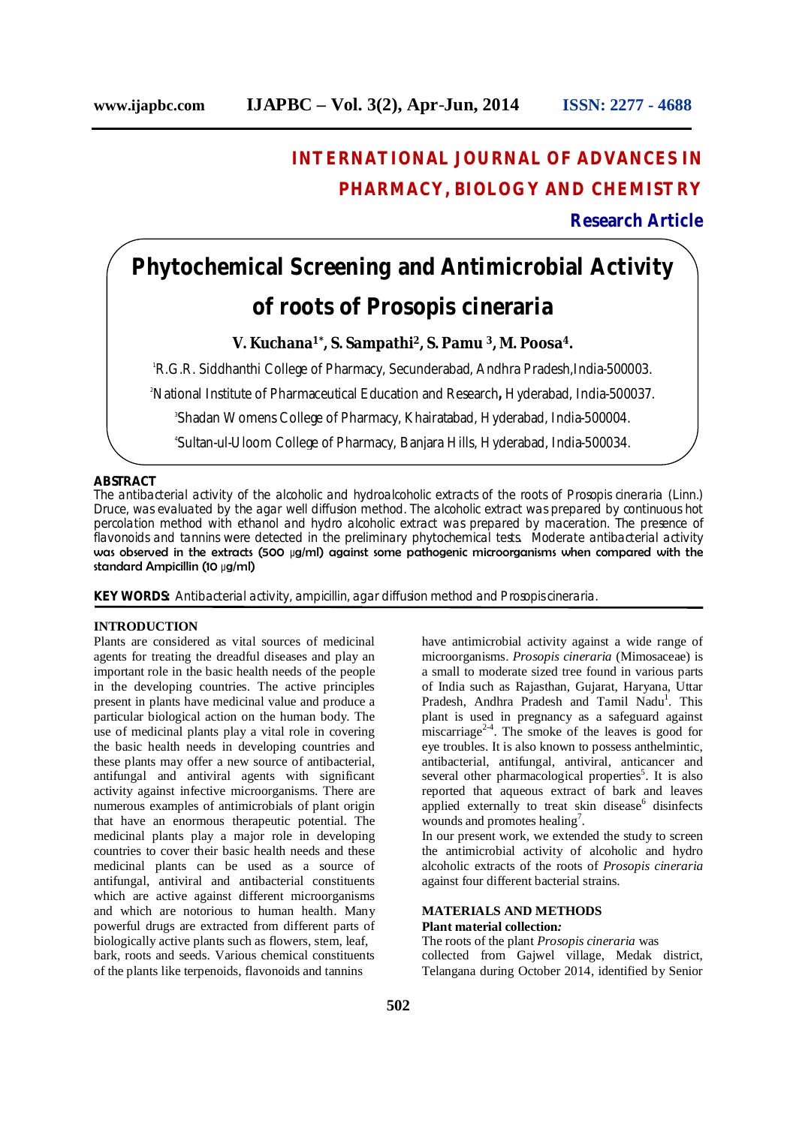## **INTERNATIONAL JOURNAL OF ADVANCES IN PHARMACY, BIOLOGY AND CHEMISTRY**

### **Research Article**

# **Phytochemical Screening and Antimicrobial Activity of roots of Prosopis cineraria**

#### **V. Kuchana1\*, S. Sampathi2, S. Pamu 3, M. Poosa4.**

<sup>1</sup>R.G.R. Siddhanthi College of Pharmacy, Secunderabad, Andhra Pradesh, India-500003.

<sup>2</sup>National Institute of Pharmaceutical Education and Research**,** Hyderabad, India-500037.

3 Shadan Womens College of Pharmacy, Khairatabad, Hyderabad, India-500004.

4 Sultan-ul-Uloom College of Pharmacy, Banjara Hills, Hyderabad, India-500034.

#### **ABSTRACT**

The antibacterial activity of the alcoholic and hydroalcoholic extracts of the roots of *Prosopis cineraria* (Linn.) Druce, was evaluated by the agar well diffusion method. The alcoholic extract was prepared by continuous hot percolation method with ethanol and hydro alcoholic extract was prepared by maceration. The presence of flavonoids and tannins were detected in the preliminary phytochemical tests. Moderate antibacterial activity was observed in the extracts (500 μg/ml) against some pathogenic microorganisms when compared with the standard Ampicillin (10 μg/ml)

**KEY WORDS:** Antibacterial activity, ampicillin, agar diffusion method and *Prosopis cineraria.*

#### **INTRODUCTION**

Plants are considered as vital sources of medicinal agents for treating the dreadful diseases and play an important role in the basic health needs of the people in the developing countries. The active principles present in plants have medicinal value and produce a particular biological action on the human body. The use of medicinal plants play a vital role in covering the basic health needs in developing countries and these plants may offer a new source of antibacterial, antifungal and antiviral agents with significant activity against infective microorganisms. There are numerous examples of antimicrobials of plant origin that have an enormous therapeutic potential. The medicinal plants play a major role in developing countries to cover their basic health needs and these medicinal plants can be used as a source of antifungal, antiviral and antibacterial constituents which are active against different microorganisms and which are notorious to human health. Many powerful drugs are extracted from different parts of biologically active plants such as flowers, stem, leaf, bark, roots and seeds. Various chemical constituents of the plants like terpenoids, flavonoids and tannins

microorganisms. *Prosopis cineraria* (Mimosaceae) is a small to moderate sized tree found in various parts of India such as Rajasthan, Gujarat, Haryana, Uttar Pradesh, Andhra Pradesh and Tamil Nadu<sup>1</sup>. This plant is used in pregnancy as a safeguard against miscarriage<sup>2-4</sup>. The smoke of the leaves is good for eye troubles. It is also known to possess anthelmintic, antibacterial, antifungal, antiviral, anticancer and several other pharmacological properties<sup>5</sup>. It is also reported that aqueous extract of bark and leaves applied externally to treat skin disease $6$  disinfects wounds and promotes healing<sup>7</sup>. In our present work, we extended the study to screen the antimicrobial activity of alcoholic and hydro alcoholic extracts of the roots of *Prosopis cineraria*

have antimicrobial activity against a wide range of

#### **MATERIALS AND METHODS Plant material collection***:*

against four different bacterial strains.

The roots of the plant *Prosopis cineraria* was collected from Gajwel village, Medak district, Telangana during October 2014, identified by Senior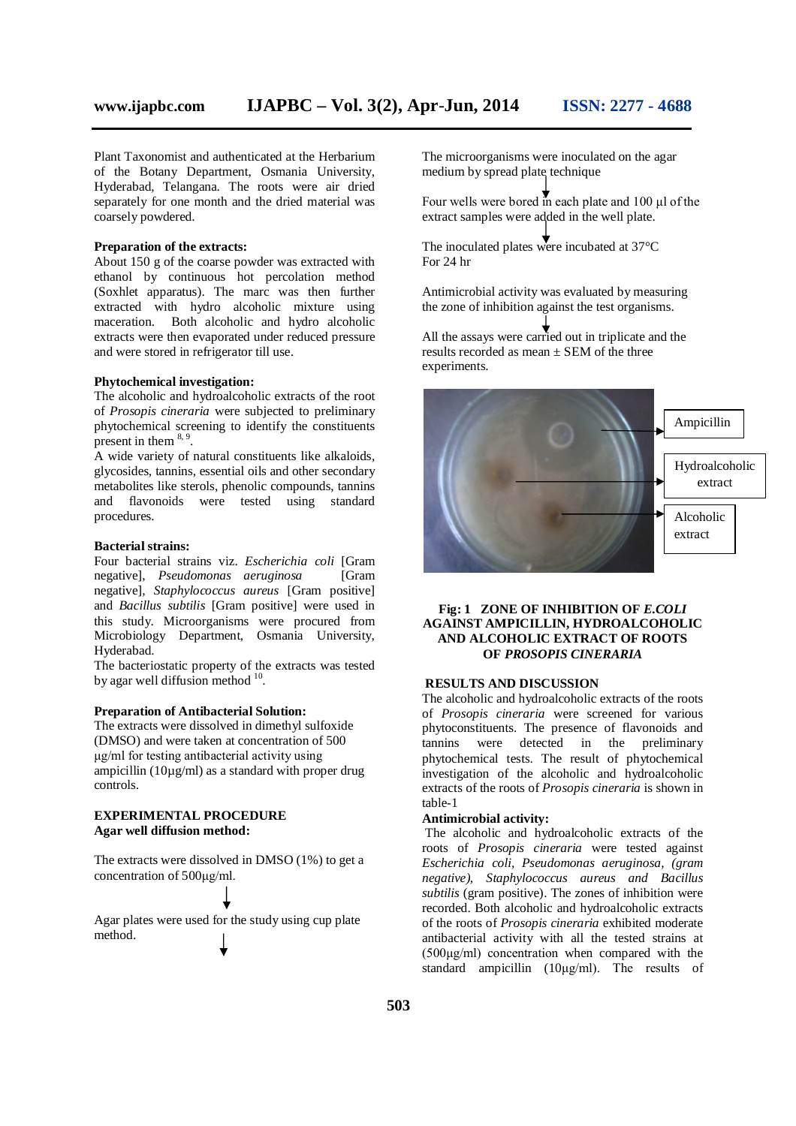Plant Taxonomist and authenticated at the Herbarium of the Botany Department, Osmania University, Hyderabad, Telangana. The roots were air dried separately for one month and the dried material was coarsely powdered.

#### **Preparation of the extracts:**

About 150 g of the coarse powder was extracted with ethanol by continuous hot percolation method (Soxhlet apparatus). The marc was then further extracted with hydro alcoholic mixture using maceration. Both alcoholic and hydro alcoholic extracts were then evaporated under reduced pressure and were stored in refrigerator till use.

#### **Phytochemical investigation:**

The alcoholic and hydroalcoholic extracts of the root of *Prosopis cineraria* were subjected to preliminary phytochemical screening to identify the constituents present in them  $8, 9$ .

A wide variety of natural constituents like alkaloids, glycosides, tannins, essential oils and other secondary metabolites like sterols, phenolic compounds, tannins and flavonoids were tested using standard procedures.

#### **Bacterial strains:**

Four bacterial strains viz. *Escherichia coli* [Gram negative], *Pseudomonas aeruginosa* [Gram negative], *Staphylococcus aureus* [Gram positive] and *Bacillus subtilis* [Gram positive] were used in this study. Microorganisms were procured from Microbiology Department, Osmania University, Hyderabad.

The bacteriostatic property of the extracts was tested by agar well diffusion method <sup>10</sup>.

#### **Preparation of Antibacterial Solution:**

The extracts were dissolved in dimethyl sulfoxide (DMSO) and were taken at concentration of 500 μg/ml for testing antibacterial activity using ampicillin  $(10\mu\text{g/ml})$  as a standard with proper drug controls.

#### **EXPERIMENTAL PROCEDURE Agar well diffusion method:**

The extracts were dissolved in DMSO (1%) to get a concentration of 500μg/ml.

Agar plates were used for the study using cup plate method.

The microorganisms were inoculated on the agar medium by spread plate technique

Four wells were bored in each plate and 100 μl of the extract samples were added in the well plate.

The inoculated plates were incubated at 37<sup>o</sup>C For 24 hr

Antimicrobial activity was evaluated by measuring the zone of inhibition against the test organisms.

All the assays were carried out in triplicate and the results recorded as mean  $\pm$  SEM of the three experiments.



#### **Fig: 1 ZONE OF INHIBITION OF** *E.COLI* **AGAINST AMPICILLIN, HYDROALCOHOLIC AND ALCOHOLIC EXTRACT OF ROOTS OF** *PROSOPIS CINERARIA*

#### **RESULTS AND DISCUSSION**

The alcoholic and hydroalcoholic extracts of the roots of *Prosopis cineraria* were screened for various phytoconstituents. The presence of flavonoids and tannins were detected in the preliminary phytochemical tests. The result of phytochemical investigation of the alcoholic and hydroalcoholic extracts of the roots of *Prosopis cineraria* is shown in table-1

#### **Antimicrobial activity:**

The alcoholic and hydroalcoholic extracts of the roots of *Prosopis cineraria* were tested against *Escherichia coli, Pseudomonas aeruginosa, (gram negative), Staphylococcus aureus and Bacillus subtilis* (gram positive). The zones of inhibition were recorded. Both alcoholic and hydroalcoholic extracts of the roots of *Prosopis cineraria* exhibited moderate antibacterial activity with all the tested strains at (500μg/ml) concentration when compared with the standard ampicillin (10μg/ml). The results of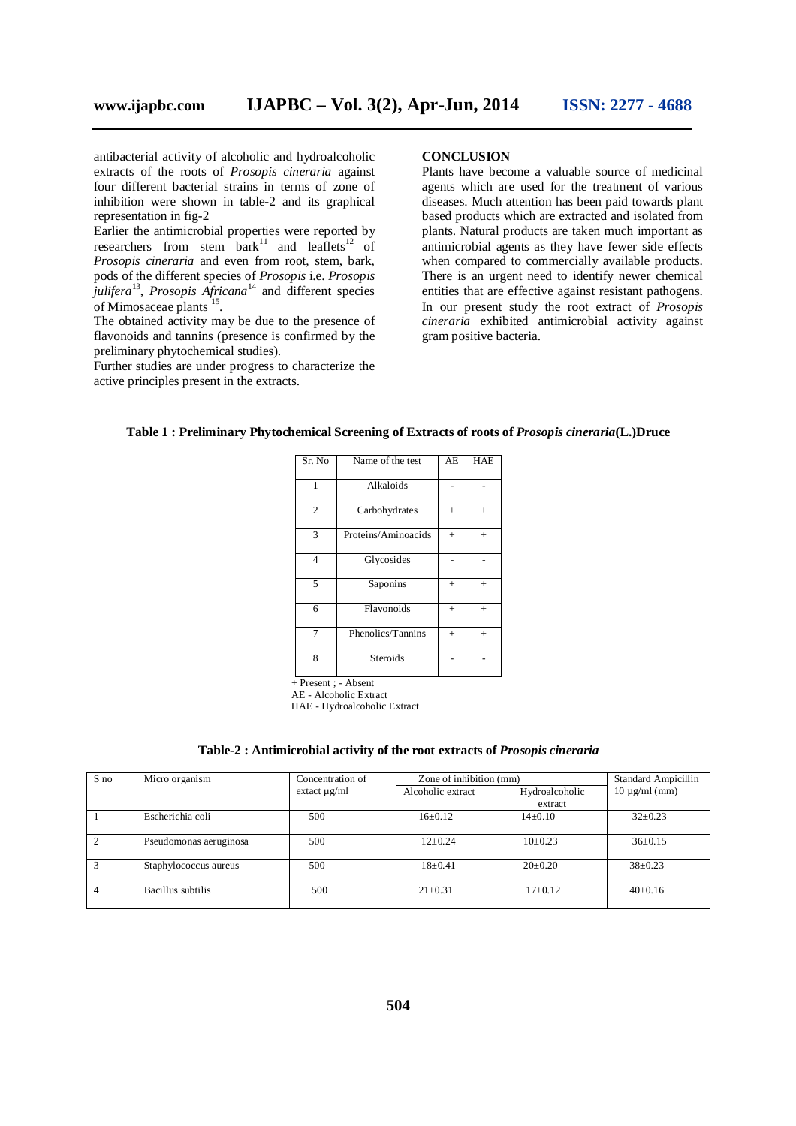antibacterial activity of alcoholic and hydroalcoholic extracts of the roots of *Prosopis cineraria* against four different bacterial strains in terms of zone of inhibition were shown in table-2 and its graphical representation in fig-2

Earlier the antimicrobial properties were reported by researchers from stem  $bar<sup>11</sup>$  and leaflets<sup>12</sup> of *Prosopis cineraria* and even from root, stem, bark, pods of the different species of *Prosopis* i.e. *Prosopis julifera*<sup>13</sup> , *Prosopis Africana*<sup>14</sup> and different species of Mimosaceae plants<sup>15</sup>.

The obtained activity may be due to the presence of flavonoids and tannins (presence is confirmed by the preliminary phytochemical studies).

Further studies are under progress to characterize the active principles present in the extracts.

#### **CONCLUSION**

Plants have become a valuable source of medicinal agents which are used for the treatment of various diseases. Much attention has been paid towards plant based products which are extracted and isolated from plants. Natural products are taken much important as antimicrobial agents as they have fewer side effects when compared to commercially available products. There is an urgent need to identify newer chemical entities that are effective against resistant pathogens. In our present study the root extract of *Prosopis cineraria* exhibited antimicrobial activity against gram positive bacteria.

| Sr. No         | Name of the test    | AE     | <b>HAE</b> |
|----------------|---------------------|--------|------------|
| 1              | Alkaloids           |        |            |
| 2              | Carbohydrates       | $+$    | $+$        |
| 3              | Proteins/Aminoacids | $^{+}$ | $+$        |
| $\overline{4}$ | Glycosides          |        |            |
| 5              | Saponins            | $^{+}$ | $+$        |
| 6              | Flavonoids          | $^{+}$ | $+$        |
|                | Phenolics/Tannins   | $+$    | $^{+}$     |
| 8              | <b>Steroids</b>     |        |            |

#### **Table 1 : Preliminary Phytochemical Screening of Extracts of roots of** *Prosopis cineraria***(L.)Druce**

+ Present ; - Absent

AE - Alcoholic Extract

HAE - Hydroalcoholic Extract

| Table-2 : Antimicrobial activity of the root extracts of <i>Prosopis cineraria</i> |  |  |  |
|------------------------------------------------------------------------------------|--|--|--|
|                                                                                    |  |  |  |
|                                                                                    |  |  |  |

| S no | Micro organism         | Concentration of  | Zone of inhibition (mm) |                           | Standard Ampicillin |
|------|------------------------|-------------------|-------------------------|---------------------------|---------------------|
|      |                        | extact $\mu$ g/ml | Alcoholic extract       | Hydroalcoholic<br>extract | $10 \mu g/ml$ (mm)  |
|      | Escherichia coli       | 500               | $16 \pm 0.12$           | $14\pm0.10$               | $32 \pm 0.23$       |
|      | Pseudomonas aeruginosa | 500               | $12+0.24$               | $10\pm0.23$               | $36\pm0.15$         |
|      | Staphylococcus aureus  | 500               | $18+0.41$               | $20 \pm 0.20$             | $38 \pm 0.23$       |
| 4    | Bacillus subtilis      | 500               | $21 \pm 0.31$           | $17+0.12$                 | $40+0.16$           |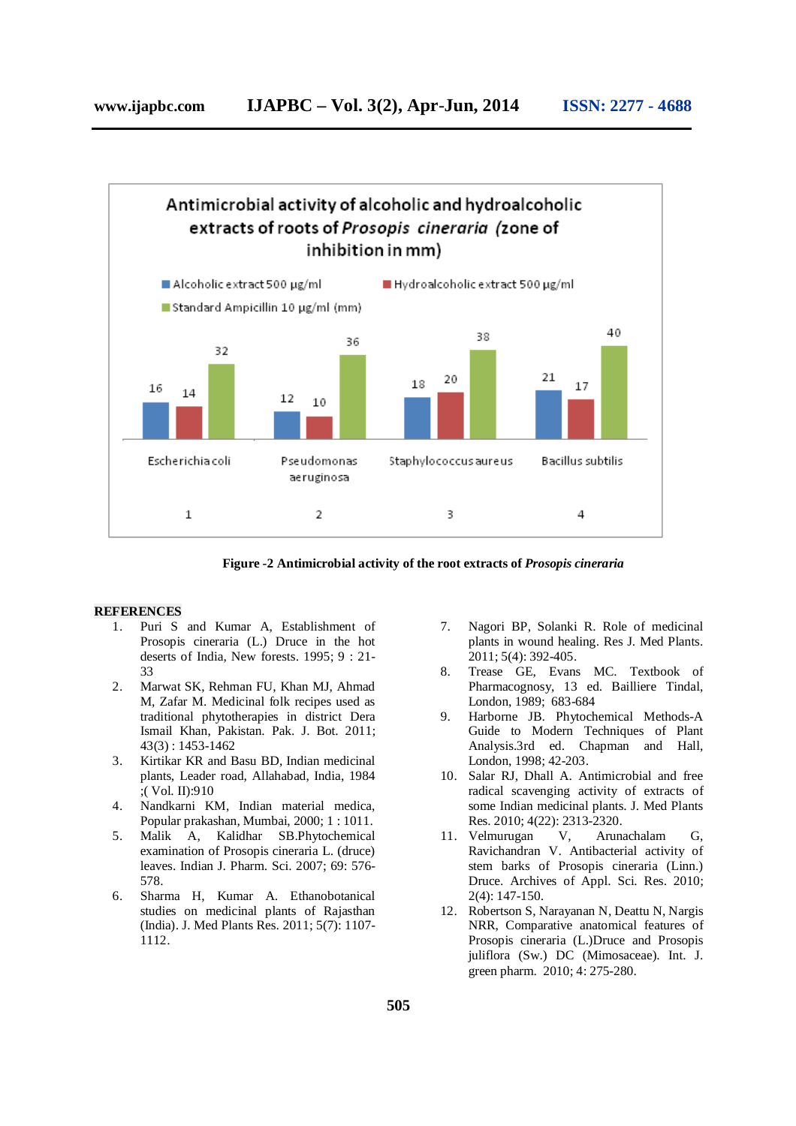

**Figure -2 Antimicrobial activity of the root extracts of** *Prosopis cineraria*

#### **REFERENCES**

- 1. Puri S and Kumar A, Establishment of Prosopis cineraria (L.) Druce in the hot deserts of India, New forests. 1995; 9 : 21- 33
- 2. Marwat SK, Rehman FU, Khan MJ, Ahmad M, Zafar M. Medicinal folk recipes used as traditional phytotherapies in district Dera Ismail Khan, Pakistan. Pak. J. Bot. 2011; 43(3) : 1453-1462
- 3. Kirtikar KR and Basu BD, Indian medicinal plants, Leader road, Allahabad, India, 1984 ;( Vol. II):910
- 4. Nandkarni KM, Indian material medica, Popular prakashan, Mumbai, 2000; 1 : 1011.
- 5. Malik A, Kalidhar SB.Phytochemical examination of Prosopis cineraria L. (druce) leaves. Indian J. Pharm. Sci. 2007; 69: 576- 578.
- 6. Sharma H, Kumar A. Ethanobotanical studies on medicinal plants of Rajasthan (India). J. Med Plants Res. 2011; 5(7): 1107- 1112.
- 7. Nagori BP, Solanki R. Role of medicinal plants in wound healing. Res J. Med Plants. 2011; 5(4): 392-405.
- 8. Trease GE, Evans MC. Textbook of Pharmacognosy, 13 ed. Bailliere Tindal, London, 1989; 683-684
- 9. Harborne JB. Phytochemical Methods-A Guide to Modern Techniques of Plant Analysis.3rd ed. Chapman and Hall, London, 1998; 42-203.
- 10. Salar RJ, Dhall A. Antimicrobial and free radical scavenging activity of extracts of some Indian medicinal plants. J. Med Plants Res. 2010; 4(22): 2313-2320.
- 11. Velmurugan V, Arunachalam G, Ravichandran V. Antibacterial activity of stem barks of Prosopis cineraria (Linn.) Druce. Archives of Appl. Sci. Res. 2010; 2(4): 147-150.
- 12. Robertson S, Narayanan N, Deattu N, Nargis NRR, Comparative anatomical features of Prosopis cineraria (L.)Druce and Prosopis juliflora (Sw.) DC (Mimosaceae). Int. J. green pharm. 2010; 4: 275-280.